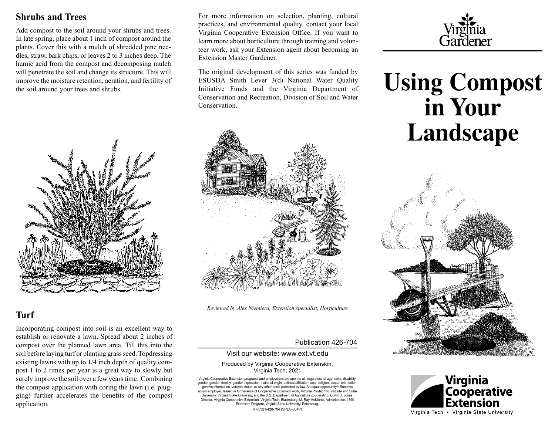#### **Shrubs and Trees**

Add compost to the soil around your shrubs and trees. In late spring, place about 1 inch of compost around the plants. Cover this with a mulch of shredded pine needles, straw, bark chips, or leaves 2 to 3 inches deep. The humic acid from the compost and decomposing mulch will penetrate the soil and change its structure. This will improve the moisture retention, aeration, and fertility of the soil around your trees and shrubs.



#### **Turf**

Incorporating compost into soil is an excellent way to establish or renovate a lawn. Spread about 2 inches of compost over the planned lawn area. Till this into the soil before laying turf or planting grass seed. Topdressing existing lawns with up to 1/4 inch depth of quality compost 1 to 2 times per year is a great way to slowly but surely improve the soil over a few years time. Combining the compost application with coring the lawn (i.e. plugging) further accelerates the benefits of the compost application.

For more information on selection, planting, cultural practices, and environmental quality, contact your local Virginia Cooperative Extension Office. If you want to learn more about horticulture through training and volunteer work, ask your Extension agent about becoming an Extension Master Gardener.

The original development of this series was funded by ESUSDA Smith Lever 3(d) National Water Quality Initiative Funds and the Virginia Department of Conservation and Recreation, Division of Soil and Water **Conservation** 



*Reviewed by Alex Niemiera, Extension specialist, Horticulture*

#### Publication 426-704

#### Visit our website: [www.ext.vt.edu](http://www.ext.vt.edu)

#### Produced by Virginia Cooperative Extension, Virginia Tech, 2021

Virginia Cooperative Extension programs and employment are open to all, regardless of age, color, disability, gender, gender identity, gender expression, national origin, political affiliation, race, religion, sexual orientation, genetic information, veteran status, or any other basis protected by law. An equal opportunity/affirmative action employer. Issued in furtherance of Cooperative Extension work, Virginia Polytechnic Institute and State University, Virginia State University, and the U.S. Department of Agriculture cooperating. Edwin J. Jones, Director, Virginia Cooperative Extension, Virginia Tech, Blacksburg; M. Ray McKinnie, Administrator, 1890 Extension Program, Virginia State University, Petersburg.

VT/0321/426-704 (SPES-304P)



# **Using Compost in Your Landscape**